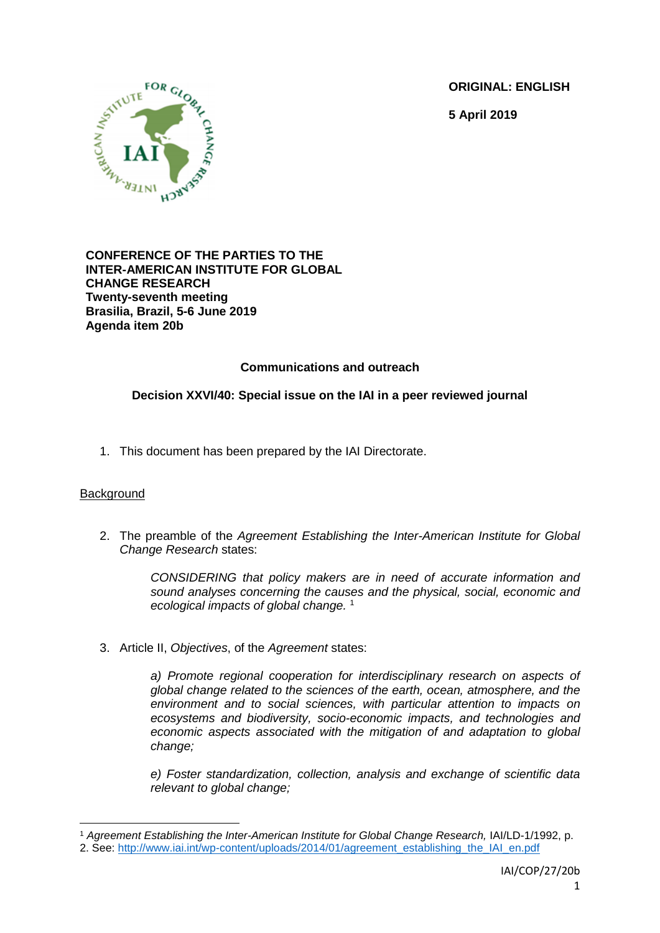**ORIGINAL: ENGLISH**

**5 April 2019**



#### **CONFERENCE OF THE PARTIES TO THE INTER-AMERICAN INSTITUTE FOR GLOBAL CHANGE RESEARCH Twenty-seventh meeting Brasilia, Brazil, 5-6 June 2019 Agenda item 20b**

# **Communications and outreach**

## **Decision XXVI/40: Special issue on the IAI in a peer reviewed journal**

1. This document has been prepared by the IAI Directorate.

#### **Background**

**.** 

2. The preamble of the *Agreement Establishing the Inter-American Institute for Global Change Research* states:

> *CONSIDERING that policy makers are in need of accurate information and sound analyses concerning the causes and the physical, social, economic and ecological impacts of global change.* 1

3. Article II, *Objectives*, of the *Agreement* states:

*a) Promote regional cooperation for interdisciplinary research on aspects of global change related to the sciences of the earth, ocean, atmosphere, and the environment and to social sciences, with particular attention to impacts on ecosystems and biodiversity, socio-economic impacts, and technologies and economic aspects associated with the mitigation of and adaptation to global change;*

*e) Foster standardization, collection, analysis and exchange of scientific data relevant to global change;* 

<sup>1</sup> *Agreement Establishing the Inter-American Institute for Global Change Research,* IAI/LD-1/1992, p.

<sup>2.</sup> See: [http://www.iai.int/wp-content/uploads/2014/01/agreement\\_establishing\\_the\\_IAI\\_en.pdf](http://www.iai.int/wp-content/uploads/2014/01/agreement_establishing_the_IAI_en.pdf)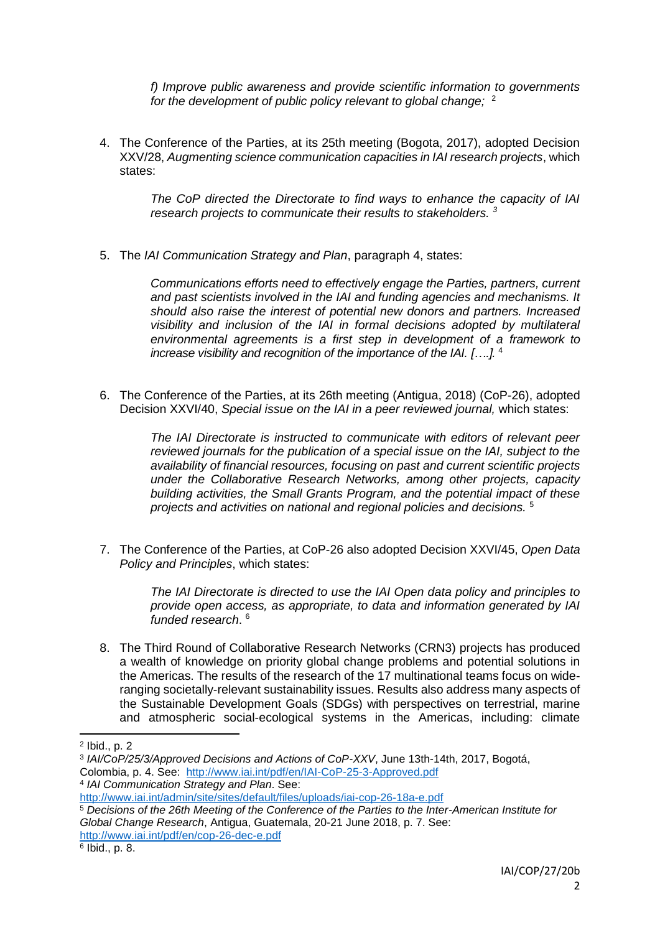*f) Improve public awareness and provide scientific information to governments for the development of public policy relevant to global change;* <sup>2</sup>

4. The Conference of the Parties, at its 25th meeting (Bogota, 2017), adopted Decision XXV/28, *Augmenting science communication capacities in IAI research projects*, which states:

> *The CoP directed the Directorate to find ways to enhance the capacity of IAI research projects to communicate their results to stakeholders. <sup>3</sup>*

5. The *IAI Communication Strategy and Plan*, paragraph 4, states:

*Communications efforts need to effectively engage the Parties, partners, current and past scientists involved in the IAI and funding agencies and mechanisms. It should also raise the interest of potential new donors and partners. Increased visibility and inclusion of the IAI in formal decisions adopted by multilateral environmental agreements is a first step in development of a framework to increase visibility and recognition of the importance of the IAI. [….].* 4

6. The Conference of the Parties, at its 26th meeting (Antigua, 2018) (CoP-26), adopted Decision XXVI/40, *Special issue on the IAI in a peer reviewed journal,* which states:

> *The IAI Directorate is instructed to communicate with editors of relevant peer reviewed journals for the publication of a special issue on the IAI, subject to the availability of financial resources, focusing on past and current scientific projects under the Collaborative Research Networks, among other projects, capacity building activities, the Small Grants Program, and the potential impact of these projects and activities on national and regional policies and decisions.* <sup>5</sup>

7. The Conference of the Parties, at CoP-26 also adopted Decision XXVI/45, *Open Data Policy and Principles*, which states:

> *The IAI Directorate is directed to use the IAI Open data policy and principles to provide open access, as appropriate, to data and information generated by IAI funded research*. 6

8. The Third Round of Collaborative Research Networks (CRN3) projects has produced a wealth of knowledge on priority global change problems and potential solutions in the Americas. The results of the research of the 17 multinational teams focus on wideranging societally-relevant sustainability issues. Results also address many aspects of the Sustainable Development Goals (SDGs) with perspectives on terrestrial, marine and atmospheric social-ecological systems in the Americas, including: climate

**.** 

<sup>2</sup> Ibid., p. 2

<sup>3</sup> *IAI/CoP/25/3/Approved Decisions and Actions of CoP-XXV*, June 13th-14th, 2017, Bogotá, Colombia, p. 4. See: <http://www.iai.int/pdf/en/IAI-CoP-25-3-Approved.pdf>

<sup>4</sup> *IAI Communication Strategy and Plan*. See:

<http://www.iai.int/admin/site/sites/default/files/uploads/iai-cop-26-18a-e.pdf>

<sup>5</sup> *Decisions of the 26th Meeting of the Conference of the Parties to the Inter-American Institute for Global Change Research*, Antigua, Guatemala, 20-21 June 2018, p. 7. See: <http://www.iai.int/pdf/en/cop-26-dec-e.pdf>

<sup>6</sup> Ibid., p. 8.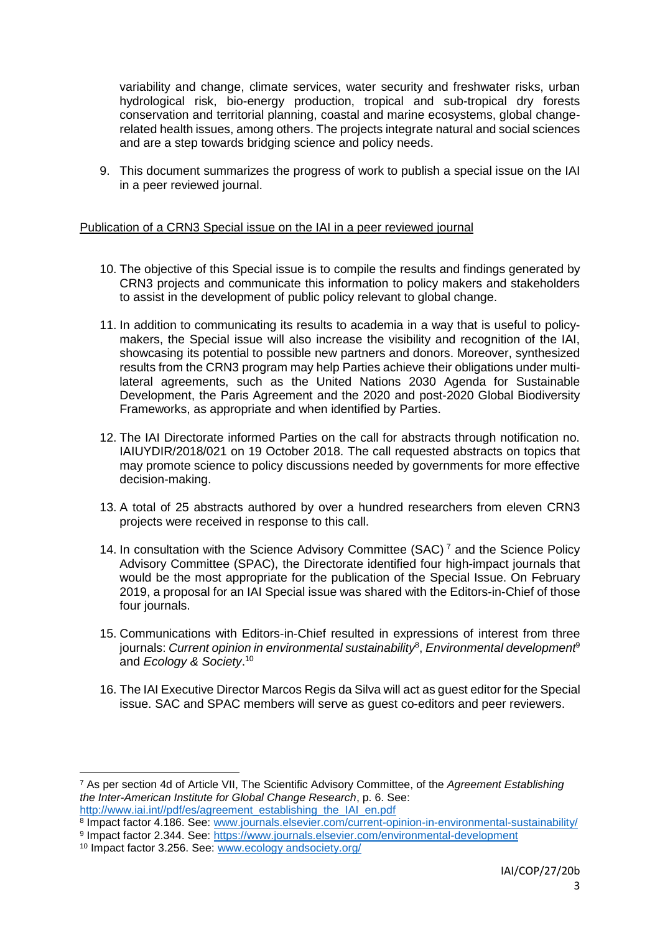variability and change, climate services, water security and freshwater risks, urban hydrological risk, bio-energy production, tropical and sub-tropical dry forests conservation and territorial planning, coastal and marine ecosystems, global changerelated health issues, among others. The projects integrate natural and social sciences and are a step towards bridging science and policy needs.

9. This document summarizes the progress of work to publish a special issue on the IAI in a peer reviewed journal.

#### Publication of a CRN3 Special issue on the IAI in a peer reviewed journal

- 10. The objective of this Special issue is to compile the results and findings generated by CRN3 projects and communicate this information to policy makers and stakeholders to assist in the development of public policy relevant to global change.
- 11. In addition to communicating its results to academia in a way that is useful to policymakers, the Special issue will also increase the visibility and recognition of the IAI, showcasing its potential to possible new partners and donors. Moreover, synthesized results from the CRN3 program may help Parties achieve their obligations under multilateral agreements, such as the United Nations 2030 Agenda for Sustainable Development, the Paris Agreement and the 2020 and post-2020 Global Biodiversity Frameworks, as appropriate and when identified by Parties.
- 12. The IAI Directorate informed Parties on the call for abstracts through notification no. IAIUYDIR/2018/021 on 19 October 2018. The call requested abstracts on topics that may promote science to policy discussions needed by governments for more effective decision-making.
- 13. A total of 25 abstracts authored by over a hundred researchers from eleven CRN3 projects were received in response to this call.
- 14. In consultation with the Science Advisory Committee (SAC)<sup> $7$ </sup> and the Science Policy Advisory Committee (SPAC), the Directorate identified four high-impact journals that would be the most appropriate for the publication of the Special Issue. On February 2019, a proposal for an IAI Special issue was shared with the Editors-in-Chief of those four journals.
- 15. Communications with Editors-in-Chief resulted in expressions of interest from three journals: *Current opinion in environmental sustainability*<sup>8</sup> , *Environmental development*<sup>9</sup> and *Ecology & Society*. 10
- 16. The IAI Executive Director Marcos Regis da Silva will act as guest editor for the Special issue. SAC and SPAC members will serve as guest co-editors and peer reviewers.

 $\overline{a}$ 

<sup>7</sup> As per section 4d of Article VII, The Scientific Advisory Committee, of the *Agreement Establishing the Inter-American Institute for Global Change Research*, p. 6. See: [http://www.iai.int//pdf/es/agreement\\_establishing\\_the\\_IAI\\_en.pdf](http://www.iai.int/pdf/es/agreement_establishing_the_IAI_en.pdf)

<sup>&</sup>lt;sup>8</sup> Impact factor 4.186. See: [www.journals.elsevier.com/current-opinion-in-environmental-sustainability/](http://www.journals.elsevier.com/current-opinion-in-environmental-sustainability/) 9 Impact factor 2.344. See: https://www.journals.elsevier.com/environmental-development

<sup>10</sup> Impact factor 3.256. See: www.ecology andsociety.org/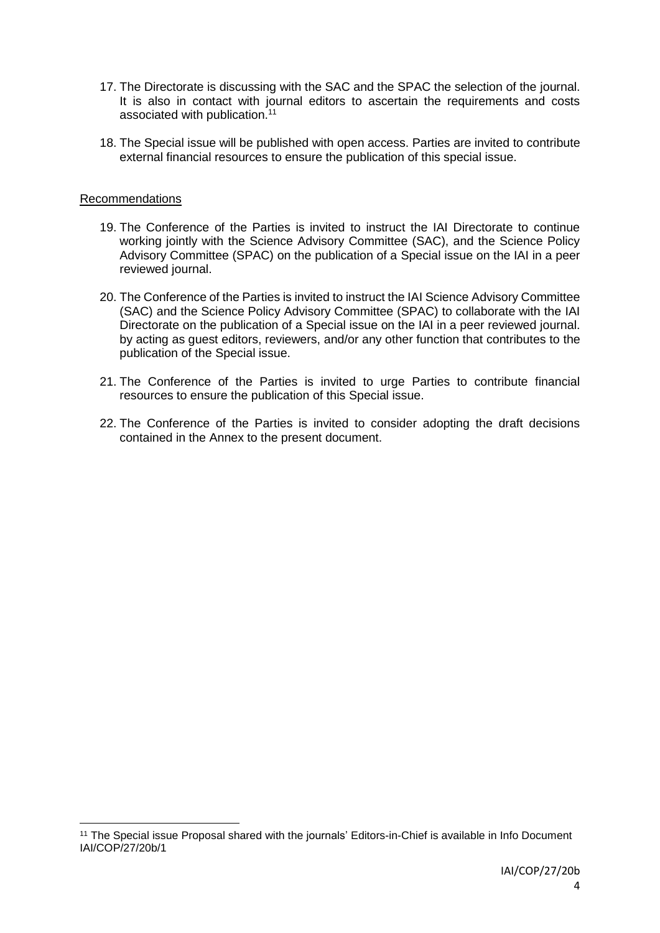- 17. The Directorate is discussing with the SAC and the SPAC the selection of the journal. It is also in contact with journal editors to ascertain the requirements and costs associated with publication.<sup>11</sup>
- 18. The Special issue will be published with open access. Parties are invited to contribute external financial resources to ensure the publication of this special issue.

#### Recommendations

**.** 

- 19. The Conference of the Parties is invited to instruct the IAI Directorate to continue working jointly with the Science Advisory Committee (SAC), and the Science Policy Advisory Committee (SPAC) on the publication of a Special issue on the IAI in a peer reviewed journal.
- 20. The Conference of the Parties is invited to instruct the IAI Science Advisory Committee (SAC) and the Science Policy Advisory Committee (SPAC) to collaborate with the IAI Directorate on the publication of a Special issue on the IAI in a peer reviewed journal. by acting as guest editors, reviewers, and/or any other function that contributes to the publication of the Special issue.
- 21. The Conference of the Parties is invited to urge Parties to contribute financial resources to ensure the publication of this Special issue.
- 22. The Conference of the Parties is invited to consider adopting the draft decisions contained in the Annex to the present document.

<sup>11</sup> The Special issue Proposal shared with the journals' Editors-in-Chief is available in Info Document IAI/COP/27/20b/1